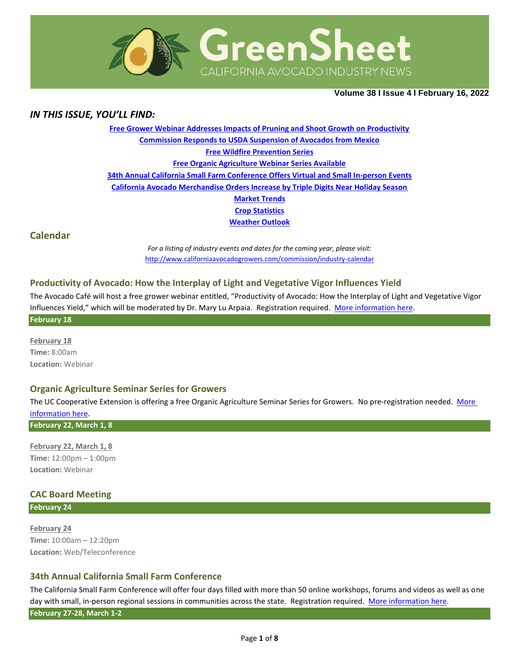

**Volume 38 Ι Issue 4 Ι February 16, 2022**

## *IN THIS ISSUE, YOU'LL FIND:*

**[Free Grower Webinar Addresses Impacts of Pruning and Shoot Growth on Productivity](#page-1-0) [Commission Responds to USDA Suspension of Avocados from Mexico](#page-1-1) [Free Wildfire Prevention Series](#page-1-2) [Free Organic Agriculture Webinar Series Available](#page-2-0) [34th Annual California Small Farm Conference Offers Virtual and Small In-person Events](#page-2-1) [California Avocado Merchandise Orders Increase by Triple Digits Near Holiday Season](#page-3-0) [Market](#page-4-0) Trends Crop [Statistics](#page-5-0) [Weather Outlook](#page-6-0)**

**Calendar**

*For a listing of industry events and dates for the coming year, please visit:*  <http://www.californiaavocadogrowers.com/commission/industry-calendar>

## **Productivity of Avocado: How the Interplay of Light and Vegetative Vigor Influences Yield**

The Avocado Café will host a free grower webinar entitled, "Productivity of Avocado: How the Interplay of Light and Vegetative Vigor Influences Yield," which will be moderated by Dr. Mary Lu Arpaia. Registration required. [More information](https://www.californiaavocadogrowers.com/event/productivity-avocado-how-interplay-light-and-vegetative-vigor-influences-yield) here. **February 18**

**February 18 Time:** 8:00am **Location:** Webinar

### **Organic Agriculture Seminar Series for Growers**

The UC Cooperative Extension is offering a free Organic Agriculture Seminar Series for Growers. No pre-registration needed. [More](https://www.californiaavocadogrowers.com/event/organic-agriculture-seminar-series-growers)  [information](https://www.californiaavocadogrowers.com/event/organic-agriculture-seminar-series-growers) here.

**February 22, March 1, 8**

**February 22, March 1, 8 Time:** 12:00pm – 1:00pm **Location:** Webinar

## **CAC Board Meeting**

**February 24**

**February 24 Time:** 10:00am – 12:20pm **Location:** Web/Teleconference

### **34th Annual California Small Farm Conference**

The California Small Farm Conference will offer four days filled with more than 50 online workshops, forums and videos as well as one day with small, in-person regional sessions in communities across the state. Registration required. [More information](https://www.californiaavocadogrowers.com/event/34th-annual-california-small-farm-conference) here.

**February 27-28, March 1-2**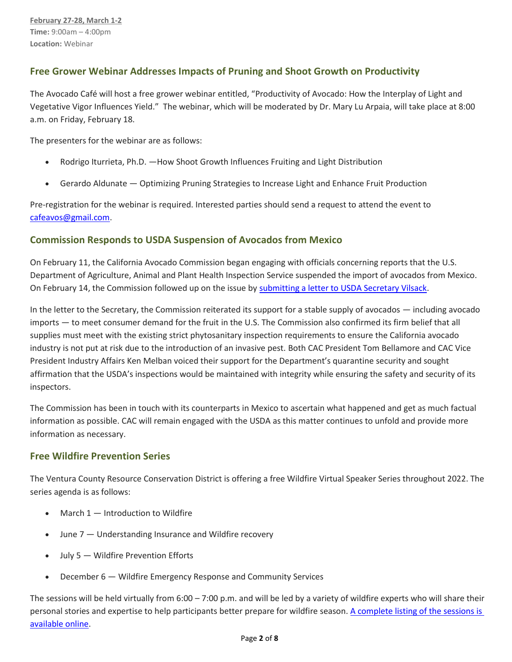# <span id="page-1-0"></span>**Free Grower Webinar Addresses Impacts of Pruning and Shoot Growth on Productivity**

The Avocado Café will host a free grower webinar entitled, "Productivity of Avocado: How the Interplay of Light and Vegetative Vigor Influences Yield." The webinar, which will be moderated by Dr. Mary Lu Arpaia, will take place at 8:00 a.m. on Friday, February 18.

The presenters for the webinar are as follows:

- Rodrigo Iturrieta, Ph.D. How Shoot Growth Influences Fruiting and Light Distribution
- Gerardo Aldunate Optimizing Pruning Strategies to Increase Light and Enhance Fruit Production

Pre-registration for the webinar is required. Interested parties should send a request to attend the event to [cafeavos@gmail.com.](mailto:cafeavos@gmail.com)

## <span id="page-1-1"></span>**Commission Responds to USDA Suspension of Avocados from Mexico**

On February 11, the California Avocado Commission began engaging with officials concerning reports that the U.S. Department of Agriculture, Animal and Plant Health Inspection Service suspended the import of avocados from Mexico. On February 14, the Commission followed up on the issue by [submitting a letter to USDA Secretary Vilsack.](https://www.californiaavocadogrowers.com/sites/default/files/Sec-Vilsack-MX-Inspections-2-22.pdf)

In the letter to the Secretary, the Commission reiterated its support for a stable supply of avocados — including avocado imports — to meet consumer demand for the fruit in the U.S. The Commission also confirmed its firm belief that all supplies must meet with the existing strict phytosanitary inspection requirements to ensure the California avocado industry is not put at risk due to the introduction of an invasive pest. Both CAC President Tom Bellamore and CAC Vice President Industry Affairs Ken Melban voiced their support for the Department's quarantine security and sought affirmation that the USDA's inspections would be maintained with integrity while ensuring the safety and security of its inspectors.

The Commission has been in touch with its counterparts in Mexico to ascertain what happened and get as much factual information as possible. CAC will remain engaged with the USDA as this matter continues to unfold and provide more information as necessary.

# <span id="page-1-2"></span>**Free Wildfire Prevention Series**

The Ventura County Resource Conservation District is offering a free Wildfire Virtual Speaker Series throughout 2022. The series agenda is as follows:

- **March 1**  $-$  Introduction to Wildfire
- June 7 Understanding Insurance and Wildfire recovery
- July 5 Wildfire Prevention Efforts
- December 6 Wildfire Emergency Response and Community Services

The sessions will be held virtually from  $6:00 - 7:00$  p.m. and will be led by a variety of wildfire experts who will share their personal stories and expertise to help participants better prepare for wildfire season[. A complete listing of the sessions is](https://files.ctctusercontent.com/573d3e42601/4dcccad7-d46a-4d51-89a0-6329391e81fc.pdf?rdr=true)  [available online.](https://files.ctctusercontent.com/573d3e42601/4dcccad7-d46a-4d51-89a0-6329391e81fc.pdf?rdr=true)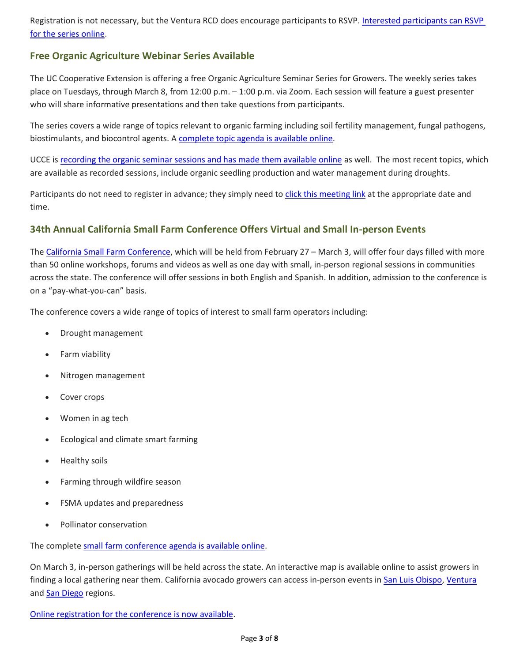Registration is not necessary, but the Ventura RCD does encourage participants to RSVP. Interested participants can RSVP [for the series online.](https://calendly.com/andyspyrka-vcrcd/wildfire-prevention-speaker-series?month=2022-03)

# <span id="page-2-0"></span>**Free Organic Agriculture Webinar Series Available**

The UC Cooperative Extension is offering a free Organic Agriculture Seminar Series for Growers. The weekly series takes place on Tuesdays, through March 8, from 12:00 p.m. – 1:00 p.m. via Zoom. Each session will feature a guest presenter who will share informative presentations and then take questions from participants.

The series covers a wide range of topics relevant to organic farming including soil fertility management, fungal pathogens, biostimulants, and biocontrol agents. A [complete topic agenda is available online.](https://ccsmallfarms.ucanr.edu/Events_and_trainings/Organic_Agriculture_Seminar_Series_for_Growers/)

UCCE is [recording the organic seminar sessions and has made them available online](https://www.youtube.com/playlist?list=PL3-hSo0d9J9JbNeIWGCSZt0aZkSayOXuU) as well. The most recent topics, which are available as recorded sessions, include organic seedling production and water management during droughts.

Participants do not need to register in advance; they simply need to [click this meeting link](https://ucanr.zoom.us/j/97511217168?pwd=ZWVhVXorcFEzRHUwQ0Q0L1lqaHNWdz09) at the appropriate date and time.

# <span id="page-2-1"></span>**34th Annual California Small Farm Conference Offers Virtual and Small In-person Events**

The California Small [Farm Conference,](https://caff.org/2022program/) which will be held from February 27 – March 3, will offer four days filled with more than 50 online workshops, forums and videos as well as one day with small, in-person regional sessions in communities across the state. The conference will offer sessions in both English and Spanish. In addition, admission to the conference is on a "pay-what-you-can" basis.

The conference covers a wide range of topics of interest to small farm operators including:

- Drought management
- Farm viability
- Nitrogen management
- Cover crops
- Women in ag tech
- Ecological and climate smart farming
- Healthy soils
- Farming through wildfire season
- FSMA updates and preparedness
- Pollinator conservation

The complete [small farm conference agenda is available online.](https://caff.org/2022program/)

On March 3, in-person gatherings will be held across the state. An interactive map is available online to assist growers in finding a local gathering near them. California avocado growers can access in-person events in [San Luis Obispo,](https://actionnetwork.org/events/san-luis-obispo-small-farm-conference-regional-gathering/) [Ventura](https://rodaleinstitute.org/soil-health-and-extreme-drought-field-day/) and [San Diego](https://actionnetwork.org/events/san-diego-small-farm-conference-regional-gathering) regions.

[Online registration for the conference is now available.](https://caff.org/2022program/)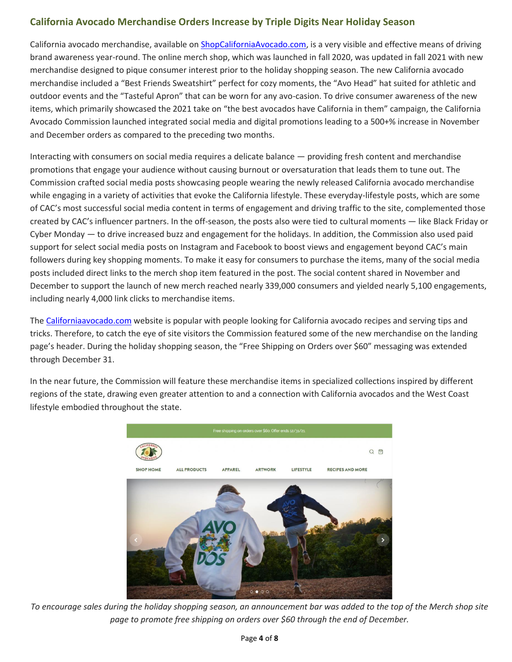# <span id="page-3-0"></span>**California Avocado Merchandise Orders Increase by Triple Digits Near Holiday Season**

California avocado merchandise, available on [ShopCaliforniaAvocado.com,](http://shopcaliforniaavocado.com/) is a very visible and effective means of driving brand awareness year-round. The online merch shop, which was launched in fall 2020, was updated in fall 2021 with new merchandise designed to pique consumer interest prior to the holiday shopping season. The new California avocado merchandise included a "Best Friends Sweatshirt" perfect for cozy moments, the "Avo Head" hat suited for athletic and outdoor events and the "Tasteful Apron" that can be worn for any avo-casion. To drive consumer awareness of the new items, which primarily showcased the 2021 take on "the best avocados have California in them" campaign, the California Avocado Commission launched integrated social media and digital promotions leading to a 500+% increase in November and December orders as compared to the preceding two months.

Interacting with consumers on social media requires a delicate balance — providing fresh content and merchandise promotions that engage your audience without causing burnout or oversaturation that leads them to tune out. The Commission crafted social media posts showcasing people wearing the newly released California avocado merchandise while engaging in a variety of activities that evoke the California lifestyle. These everyday-lifestyle posts, which are some of CAC's most successful social media content in terms of engagement and driving traffic to the site, complemented those created by CAC's influencer partners. In the off-season, the posts also were tied to cultural moments — like Black Friday or Cyber Monday — to drive increased buzz and engagement for the holidays. In addition, the Commission also used paid support for select social media posts on Instagram and Facebook to boost views and engagement beyond CAC's main followers during key shopping moments. To make it easy for consumers to purchase the items, many of the social media posts included direct links to the merch shop item featured in the post. The social content shared in November and December to support the launch of new merch reached nearly 339,000 consumers and yielded nearly 5,100 engagements, including nearly 4,000 link clicks to merchandise items.

The [Californiaavocado.com](http://californiaavocado.com/) website is popular with people looking for California avocado recipes and serving tips and tricks. Therefore, to catch the eye of site visitors the Commission featured some of the new merchandise on the landing page's header. During the holiday shopping season, the "Free Shipping on Orders over \$60" messaging was extended through December 31.

In the near future, the Commission will feature these merchandise items in specialized collections inspired by different regions of the state, drawing even greater attention to and a connection with California avocados and the West Coast lifestyle embodied throughout the state.



*To encourage sales during the holiday shopping season, an announcement bar was added to the top of the Merch shop site page to promote free shipping on orders over \$60 through the end of December.*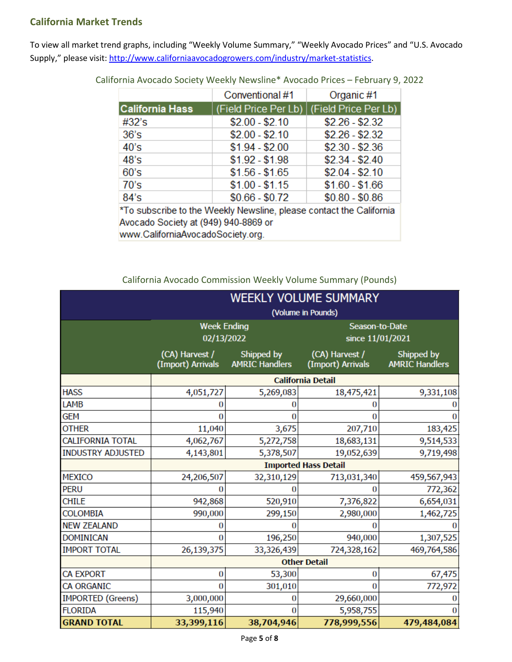# <span id="page-4-0"></span>**California Market Trends**

To view all market trend graphs, including "Weekly Volume Summary," "Weekly Avocado Prices" and "U.S. Avocado Supply," please visit[: http://www.californiaavocadogrowers.com/industry/market-statistics.](http://www.californiaavocadogrowers.com/industry/market-statistics)

|                                                                     | Conventional #1 | Organic #1                                  |  |  |  |  |
|---------------------------------------------------------------------|-----------------|---------------------------------------------|--|--|--|--|
| <b>California Hass</b>                                              |                 | (Field Price Per Lb)   (Field Price Per Lb) |  |  |  |  |
| #32's                                                               | $$2.00 - $2.10$ | $$2.26 - $2.32$                             |  |  |  |  |
| 36's                                                                | $$2.00 - $2.10$ | $$2.26 - $2.32$                             |  |  |  |  |
| 40's                                                                | $$1.94 - $2.00$ | $$2.30 - $2.36$                             |  |  |  |  |
| 48's                                                                | $$1.92 - $1.98$ | $$2.34 - $2.40$                             |  |  |  |  |
| 60's                                                                | $$1.56 - $1.65$ | $$2.04 - $2.10$                             |  |  |  |  |
| 70's                                                                | $$1.00 - $1.15$ | $$1.60 - $1.66$                             |  |  |  |  |
| 84's                                                                | $$0.66 - $0.72$ | $$0.80 - $0.86$                             |  |  |  |  |
| *To subscribe to the Weekly Newsline, please contact the California |                 |                                             |  |  |  |  |

California Avocado Society Weekly Newsline\* Avocado Prices – February 9, 2022

Avocado Society at (949) 940-8869 or www.CaliforniaAvocadoSociety.org.

California Avocado Commission Weekly Volume Summary (Pounds)

|                          | <b>WEEKLY VOLUME SUMMARY</b>        |                                     |                                     |                                     |  |
|--------------------------|-------------------------------------|-------------------------------------|-------------------------------------|-------------------------------------|--|
|                          | (Volume in Pounds)                  |                                     |                                     |                                     |  |
|                          | <b>Week Ending</b><br>02/13/2022    |                                     | Season-to-Date<br>since 11/01/2021  |                                     |  |
|                          | (CA) Harvest /<br>(Import) Arrivals | Shipped by<br><b>AMRIC Handlers</b> | (CA) Harvest /<br>(Import) Arrivals | Shipped by<br><b>AMRIC Handlers</b> |  |
|                          | <b>California Detail</b>            |                                     |                                     |                                     |  |
| <b>HASS</b>              | 4,051,727                           | 5,269,083                           | 18,475,421                          | 9,331,108                           |  |
| <b>LAMB</b>              |                                     |                                     |                                     |                                     |  |
| <b>GEM</b>               | o                                   | o                                   | O                                   |                                     |  |
| <b>OTHER</b>             | 11,040                              | 3,675                               | 207,710                             | 183,425                             |  |
| <b>CALIFORNIA TOTAL</b>  | 4,062,767                           | 5,272,758                           | 18,683,131                          | 9,514,533                           |  |
| <b>INDUSTRY ADJUSTED</b> | 4,143,801                           | 5,378,507                           | 19,052,639                          | 9,719,498                           |  |
|                          | <b>Imported Hass Detail</b>         |                                     |                                     |                                     |  |
| <b>MEXICO</b>            | 24,206,507                          | 32,310,129                          | 713,031,340                         | 459,567,943                         |  |
| <b>PERU</b>              |                                     |                                     |                                     | 772,362                             |  |
| <b>CHILE</b>             | 942,868                             | 520,910                             | 7,376,822                           | 6,654,031                           |  |
| <b>COLOMBIA</b>          | 990,000                             | 299,150                             | 2,980,000                           | 1,462,725                           |  |
| <b>NEW ZEALAND</b>       | O                                   | O                                   |                                     |                                     |  |
| <b>DOMINICAN</b>         | o                                   | 196,250                             | 940,000                             | 1,307,525                           |  |
| <b>IMPORT TOTAL</b>      | 26,139,375                          | 33,326,439                          | 724,328,162                         | 469,764,586                         |  |
|                          | <b>Other Detail</b>                 |                                     |                                     |                                     |  |
| <b>CA EXPORT</b>         | 0                                   | 53,300                              | 0                                   | 67,475                              |  |
| <b>CA ORGANIC</b>        | o                                   | 301,010                             | O                                   | 772,972                             |  |
| <b>IMPORTED (Greens)</b> | 3,000,000                           | 0                                   | 29,660,000                          |                                     |  |
| <b>FLORIDA</b>           | 115,940                             | 0                                   | 5,958,755                           |                                     |  |
| <b>GRAND TOTAL</b>       | 33,399,116                          | 38,704,946                          | 778,999,556                         | 479,484,084                         |  |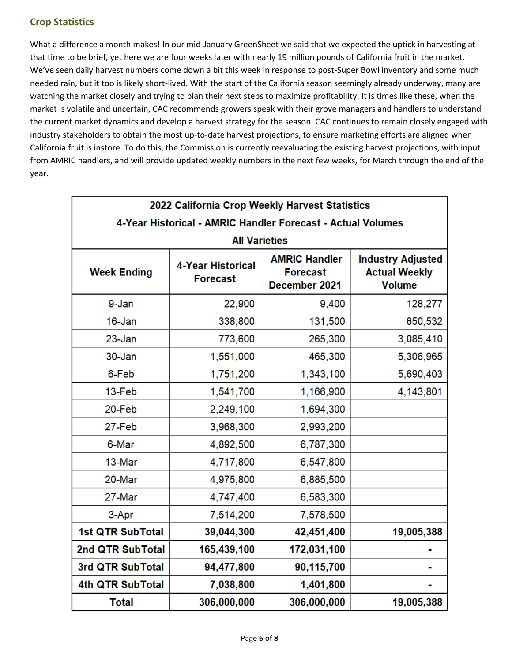# <span id="page-5-0"></span>**Crop Statistics**

What a difference a month makes! In our mid-January GreenSheet we said that we expected the uptick in harvesting at that time to be brief, yet here we are four weeks later with nearly 19 million pounds of California fruit in the market. We've seen daily harvest numbers come down a bit this week in response to post-Super Bowl inventory and some much needed rain, but it too is likely short-lived. With the start of the California season seemingly already underway, many are watching the market closely and trying to plan their next steps to maximize profitability. It is times like these, when the market is volatile and uncertain, CAC recommends growers speak with their grove managers and handlers to understand the current market dynamics and develop a harvest strategy for the season. CAC continues to remain closely engaged with industry stakeholders to obtain the most up-to-date harvest projections, to ensure marketing efforts are aligned when California fruit is instore. To do this, the Commission is currently reevaluating the existing harvest projections, with input from AMRIC handlers, and will provide updated weekly numbers in the next few weeks, for March through the end of the year.

| 2022 California Crop Weekly Harvest Statistics              |                                             |                                                          |                                                                   |  |  |  |
|-------------------------------------------------------------|---------------------------------------------|----------------------------------------------------------|-------------------------------------------------------------------|--|--|--|
| 4-Year Historical - AMRIC Handler Forecast - Actual Volumes |                                             |                                                          |                                                                   |  |  |  |
| <b>All Varieties</b>                                        |                                             |                                                          |                                                                   |  |  |  |
| <b>Week Ending</b>                                          | <b>4-Year Historical</b><br><b>Forecast</b> | <b>AMRIC Handler</b><br><b>Forecast</b><br>December 2021 | <b>Industry Adjusted</b><br><b>Actual Weekly</b><br><b>Volume</b> |  |  |  |
| 9-Jan                                                       | 22,900                                      | 9,400                                                    | 128,277                                                           |  |  |  |
| 16-Jan                                                      | 338,800                                     | 131,500                                                  | 650,532                                                           |  |  |  |
| $23 - Jan$                                                  | 773,600                                     | 265,300                                                  | 3,085,410                                                         |  |  |  |
| 30-Jan                                                      | 1,551,000                                   | 465,300                                                  | 5,306,965                                                         |  |  |  |
| 6-Feb                                                       | 1,751,200                                   | 1,343,100                                                | 5,690,403                                                         |  |  |  |
| 13-Feb                                                      | 1,541,700                                   | 1,166,900                                                | 4,143,801                                                         |  |  |  |
| 20-Feb                                                      | 2,249,100                                   | 1,694,300                                                |                                                                   |  |  |  |
| 27-Feb                                                      | 3,968,300                                   | 2,993,200                                                |                                                                   |  |  |  |
| 6-Mar                                                       | 4,892,500                                   | 6,787,300                                                |                                                                   |  |  |  |
| 13-Mar                                                      | 4,717,800                                   | 6,547,800                                                |                                                                   |  |  |  |
| 20-Mar                                                      | 4,975,800                                   | 6,885,500                                                |                                                                   |  |  |  |
| 27-Mar                                                      | 4,747,400                                   | 6,583,300                                                |                                                                   |  |  |  |
| 3-Apr                                                       | 7,514,200                                   | 7,578,500                                                |                                                                   |  |  |  |
| <b>1st QTR SubTotal</b>                                     | 39,044,300                                  | 42,451,400                                               | 19,005,388                                                        |  |  |  |
| 2nd QTR SubTotal                                            | 165,439,100                                 | 172,031,100                                              |                                                                   |  |  |  |
| 3rd QTR SubTotal                                            | 94,477,800                                  | 90,115,700                                               |                                                                   |  |  |  |
| 4th QTR SubTotal                                            | 7,038,800                                   | 1,401,800                                                |                                                                   |  |  |  |
| <b>Total</b>                                                | 306,000,000                                 | 306,000,000                                              | 19,005,388                                                        |  |  |  |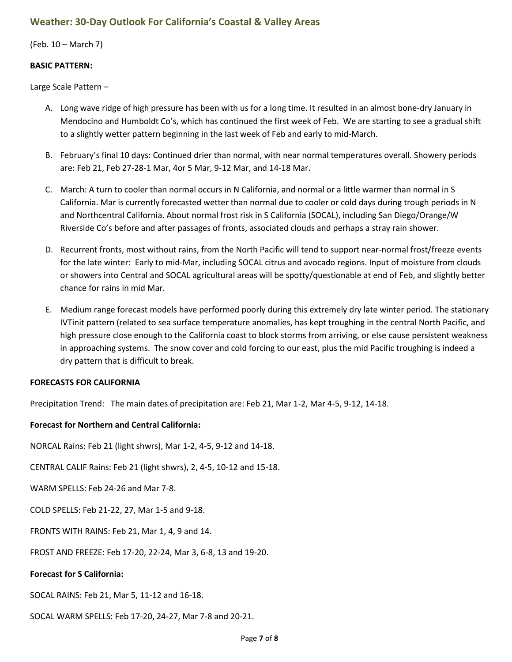## <span id="page-6-0"></span>**Weather: 30-Day Outlook For California's Coastal & Valley Areas**

(Feb. 10 – March 7)

### **BASIC PATTERN:**

Large Scale Pattern –

- A. Long wave ridge of high pressure has been with us for a long time. It resulted in an almost bone-dry January in Mendocino and Humboldt Co's, which has continued the first week of Feb. We are starting to see a gradual shift to a slightly wetter pattern beginning in the last week of Feb and early to mid-March.
- B. February's final 10 days: Continued drier than normal, with near normal temperatures overall. Showery periods are: Feb 21, Feb 27-28-1 Mar, 4or 5 Mar, 9-12 Mar, and 14-18 Mar.
- C. March: A turn to cooler than normal occurs in N California, and normal or a little warmer than normal in S California. Mar is currently forecasted wetter than normal due to cooler or cold days during trough periods in N and Northcentral California. About normal frost risk in S California (SOCAL), including San Diego/Orange/W Riverside Co's before and after passages of fronts, associated clouds and perhaps a stray rain shower.
- D. Recurrent fronts, most without rains, from the North Pacific will tend to support near-normal frost/freeze events for the late winter: Early to mid-Mar, including SOCAL citrus and avocado regions. Input of moisture from clouds or showers into Central and SOCAL agricultural areas will be spotty/questionable at end of Feb, and slightly better chance for rains in mid Mar.
- E. Medium range forecast models have performed poorly during this extremely dry late winter period. The stationary IVTinit pattern (related to sea surface temperature anomalies, has kept troughing in the central North Pacific, and high pressure close enough to the California coast to block storms from arriving, or else cause persistent weakness in approaching systems. The snow cover and cold forcing to our east, plus the mid Pacific troughing is indeed a dry pattern that is difficult to break.

### **FORECASTS FOR CALIFORNIA**

Precipitation Trend: The main dates of precipitation are: Feb 21, Mar 1-2, Mar 4-5, 9-12, 14-18.

### **Forecast for Northern and Central California:**

NORCAL Rains: Feb 21 (light shwrs), Mar 1-2, 4-5, 9-12 and 14-18.

CENTRAL CALIF Rains: Feb 21 (light shwrs), 2, 4-5, 10-12 and 15-18.

WARM SPELLS: Feb 24-26 and Mar 7-8.

COLD SPELLS: Feb 21-22, 27, Mar 1-5 and 9-18.

FRONTS WITH RAINS: Feb 21, Mar 1, 4, 9 and 14.

FROST AND FREEZE: Feb 17-20, 22-24, Mar 3, 6-8, 13 and 19-20.

#### **Forecast for S California:**

SOCAL RAINS: Feb 21, Mar 5, 11-12 and 16-18.

SOCAL WARM SPELLS: Feb 17-20, 24-27, Mar 7-8 and 20-21.